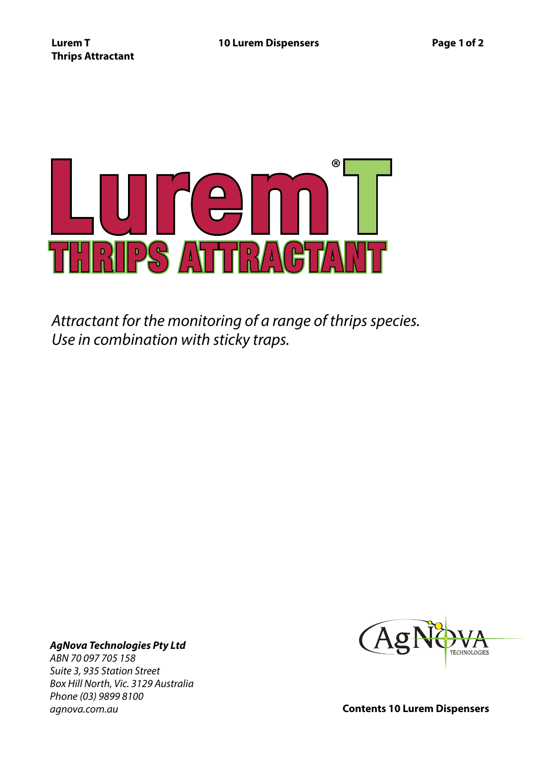

*Attractant for the monitoring of a range of thrips species. Use in combination with sticky traps.*

## *AgNova Technologies Pty Ltd*

*ABN 70 097 705 158 Suite 3, 935 Station Street Box Hill North, Vic. 3129 Australia Phone (03) 9899 8100*



*agnova.com.au* **Contents 10 Lurem Dispensers**